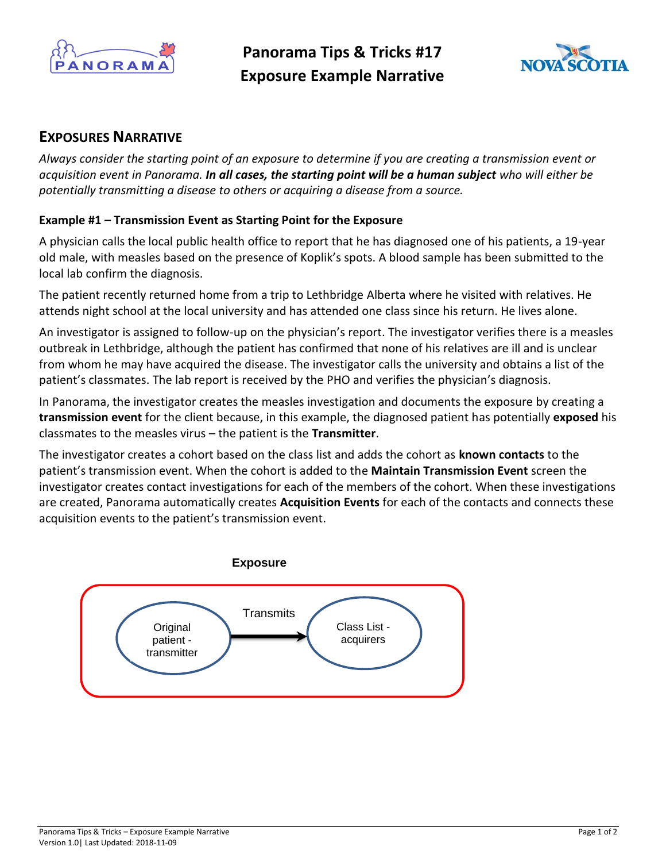

**Panorama Tips & Tricks #17 Exposure Example Narrative**



## **EXPOSURES NARRATIVE**

*Always consider the starting point of an exposure to determine if you are creating a transmission event or acquisition event in Panorama. In all cases, the starting point will be a human subject who will either be potentially transmitting a disease to others or acquiring a disease from a source.*

## **Example #1 – Transmission Event as Starting Point for the Exposure**

A physician calls the local public health office to report that he has diagnosed one of his patients, a 19-year old male, with measles based on the presence of Koplik's spots. A blood sample has been submitted to the local lab confirm the diagnosis.

The patient recently returned home from a trip to Lethbridge Alberta where he visited with relatives. He attends night school at the local university and has attended one class since his return. He lives alone.

An investigator is assigned to follow-up on the physician's report. The investigator verifies there is a measles outbreak in Lethbridge, although the patient has confirmed that none of his relatives are ill and is unclear from whom he may have acquired the disease. The investigator calls the university and obtains a list of the patient's classmates. The lab report is received by the PHO and verifies the physician's diagnosis.

In Panorama, the investigator creates the measles investigation and documents the exposure by creating a **transmission event** for the client because, in this example, the diagnosed patient has potentially **exposed** his classmates to the measles virus – the patient is the **Transmitter**.

The investigator creates a cohort based on the class list and adds the cohort as **known contacts** to the patient's transmission event. When the cohort is added to the **Maintain Transmission Event** screen the investigator creates contact investigations for each of the members of the cohort. When these investigations are created, Panorama automatically creates **Acquisition Events** for each of the contacts and connects these acquisition events to the patient's transmission event.